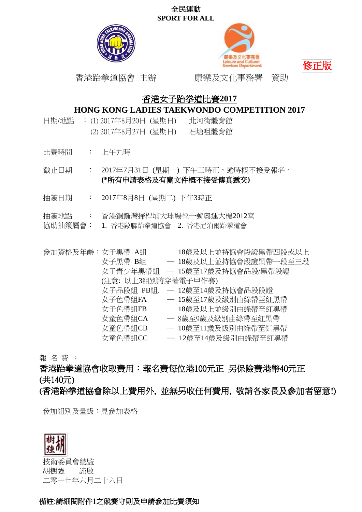



修正版

香港跆拳道協會 主辦 康樂及文化事務署 資助

# 香港女子跆拳道比賽**2017**

## **HONG KONG LADIES TAEKWONDO COMPETITION 2017**

- 日期/地點 : (1) 2017年8月20日 (星期日) 北河街體育館 (2) 2017年8月27日 (星期日) 石塘咀體育館
- 比賽時間 : 上午九時

截止日期 : 2017年7月31日 (星期一) 下午三時正,逾時概不接受報名。 **(\***所有申請表格及有關文件概不接受傳真遞交**)**

- 抽簽日期 : 2017年8月8日 (星期二) 下午3時正
- 抽簽地點 : 香港銅鑼灣掃桿埔大球場徑一號奧運大樓2012室
- 協助抽籤屬會: 1. 香港啟聯跆拳道協會 2. 香港尼泊爾跆拳道會

參加資格及年齡:女子黑帶 A組 ─ 18歲及以上並持協會段證黑帶四段或以上 女子黑帶 B組 ─ 18歲及以上並持協會段證黑帶一段至三段 女子青少年黑帶組 ─ 15歲至17歲及持協會品段/黑帶段證 (注意: 以上3組別將穿著電子甲作賽) 女子品段組 PB組. - 12歳至14歳及持協會品段段證 女子色帶組FA  $-$  15歲至17歲及級別由綠帶至紅黑帶<br>女子色帶組FB  $-$  18歲及以上並級別由綠帶至紅黑帶 一 18歲及以上並級別由綠帶至紅黑帶 女童色帶組CA ─ 8歲至9歲及級別由綠帶至紅黑帶 女童色帶組CB ─ 10歲至11歲及級別由綠帶至紅黑帶 女童色帶組CC ─ 12歲至14歲及級別由綠帶至紅黑帶

報 名 費 :

香港跆拳道協會收取費用:報名費每位港100元正 另保險費港幣40元正 (共140元)

(香港跆拳道協會除以上費用外, 並無另收任何費用, 敬請各家長及參加者留意!)

參加組別及量級:見參加表格



技術委員會總監 胡樹強 謹啟 二零一七年六月二十六日

## 備註:請細閱附件1之競賽守則及申請參加比賽須知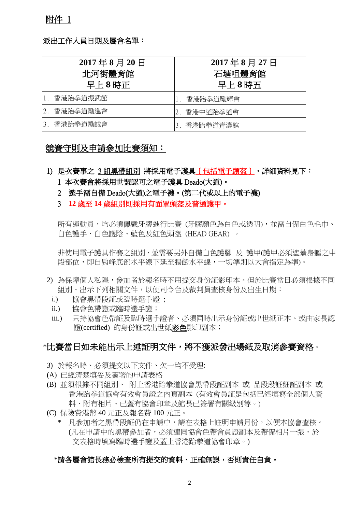### 派出工作人員日期及屬會名單:

| $2017 \n\pm 8$ 月 20 日<br>北河街體育館<br>早上8時正 |          | 2017年8月27日<br>石塘咀體育館<br>早上8時五 |  |
|------------------------------------------|----------|-------------------------------|--|
|                                          | 香港跆拳道振武館 | 香港跆拳道勵輝會                      |  |
| 2.                                       | 香港跆拳道勵進會 | 香港中道跆拳道會<br>2.                |  |
| 3.                                       | 香港跆拳道勵誠會 | 香港跆拳道青濤館                      |  |

## 競賽守則及申請參加比賽須知:

- 1) 是次賽事之 3 組黑帶組別 將採用電子護具〔包括電子頭盔〕,詳細資料見下: 1 本次賽會將採用世盟認可之電子護具 Deado(大道)。
	- 2 選手需自備 Deado(大道)之電子襪。(第二代或以上的電子襪)
	- 3 **12** 歲至 **14** 歲組別則採用有面罩頭盔及普通護甲。

所有運動員,均必須佩載牙膠進行比賽 (牙膠顏色為白色或透明),並需自備白色毛巾、 白色護手、白色護陰、藍色及紅色頭盔 (HEAD GEAR) 。

非使用電子護具作賽之組別、並需要另外自備白色護腳 及 護甲(護甲必須遮蓋身軀之中 段部位,即自肩峰底部水平線下延至腸餚水平線,一切準則以大會指定為準)。

- 2) 為保障個人私隱,參加者於報名時不用提交身份証影印本。但於比賽當日必須根據不同 組別、出示下列相關文件,以便司令台及裁判員查核身份及出生日期:
	- i.) 協會黑帶段証或臨時選手證 ;
	- ii.) 協會色帶證或臨時選手證;
	- iii.) 只持協會色帶証及臨時選手證者、必須同時出示身份証或出世紙正本、或由家長認 證(certified) 的身份証或出世紙彩色影印副本;

## \*比賽當日如未能出示上述証明文件,將不獲派發出場紙及取消參賽資格。

- 3) 於報名時、必須提交以下文件、欠一均不受理:
- (A) 已經清楚填妥及簽署的申請表格
- (B) 並須根據不同組別、 附上香港跆拳道協會黑帶段証副本 或 品段段証細証副本 或 香港跆拳道協會有效會員證之內頁副本 (有效會員証是包括已經填寫全部個人資 料、附有相片、已蓋有協會印章及館長已簽署有關級別等。)
- (C) 保險費港幣 40 元正及報名費 100 元正。
	- 凡參加者之黑帶段証仍在申請中,請在表格上註明申請月份,以便本協會杳核。 (凡在申請中的黑帶參加者,必須連同協會色帶會員證副本及帶備相片一張,於 交表格時填寫臨時選手證及蓋上香港跆拳道協會印章。)

### \*請各屬會館長務必檢查所有提交的資料、正確無誤,否則責任自負。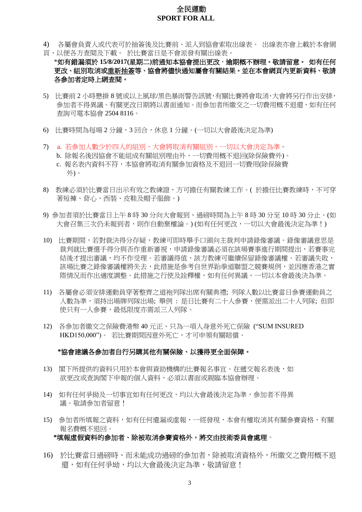- 4) 各屬會負責人或代表可於抽簽後及比賽前、派人到協會索取出線表。 出線表亦會上載於本會網 頁、以便各方查閱及下載。 於比賽當日是不會派發有關出線表。
- \*如有錯漏須於 **15/8/2017(**星期二**)**前通知本協會提出更改,逾期概不辦理。敬請留意。 如有任何 更改、組別取消或重新抽簽等、協會將儘快通知屬會有關結果。並在本會網頁內更新資料、敬請 各參加者定時上網查閱。
- 5) 比賽前 2 小時懸掛 8 號或以上風球/黑色暴雨警告訊號,有關比賽將會取消,大會將另行作出安排, 參加者不得異議。有關更改日期將以書面通知。而參加者所繳交之一切費用概不退還,如有任何 查詢可電本協會 2504 8116。
- 6) 比賽時間為每場 2 分鐘,3 回合,休息 1 分鐘。(一切以大會最後決定為準)
- 7) .a. 若參加人數少於四人的組別,大會將取消有關組別,一切以大會決定為準。 b. 除報名後因協會不能組成有關組別理由外,一切費用概不退回(除保險費外)。 c. 報名表內資料不符,本協會將取消有關參加資格及不退回一切費用(除保險費 外)。
- 8) 教練必須於比賽當日出示有效之教練證,方可擔任有關教練工作。( 於擔任比賽教練時,不可穿 著短褲、背心、西裝、皮鞋及帽子服飾。)
- 9) 參加者須於比賽當日上午 8 時 30 分向大會報到、過磅時間為上午 8 時 30 分至 10 時 30 分止。(如 大會召集三次仍未報到者,則作自動棄權論。) (如有任何更改,一切以大會最後決定為準!)
- 10) 比賽期間,若對裁決得分存疑,教練可即時舉手口頭向主裁判申請錄像審議。錄像審議意思是 裁判就比賽選手得分與否作重新審視,申請錄像審議必須在該場賽事進行期間提出,若賽事完 結後才提出審議,均不作受理。若審議得值,該方教練可繼續保留錄像審議權。若審議失敗, 該場比賽之錄像審議權將失去,此措施是參考自世界跆拳道聯盟之競賽規例,並因應香港之實 際情況而作出適度調整。此措施之行使及詮釋權,如有任何異議,一切以本會最後決為準。
- 11) 各屬會必須安排運動員穿著整齊之道袍列隊出席有關典禮; 列隊人數以比賽當日參賽運動員之 人數為準,須持出場牌列隊出場; 舉例 : 是日比賽有二十人參賽,便需派出二十人列隊; 但即 使只有一人參賽,最低限度亦需派三人列隊。
- 12) 各參加者繳交之保險費港幣 40 元正、只為一項人身意外死亡保險 ("SUM INSURED HKD150,000")。若比賽期間因意外死亡,才可申領有關賠償。

#### **\***協會建議各參加者自行另購其他有關保險、以獲得更全面保障。

- 13) 閣下所提供的資料只用於本會與資助機構的比賽報名事宜。在遞交報名表後,如 欲更改或查詢閣下申報的個人資料,必須以書面或親臨本協會辦理。
- 14) 如有任何爭拗及一切事宜如有任何更改,均以大會最後決定為準,參加者不得異 議。敬請參加者留意!
- 15) 參加者所填報之資料,如有任何遺漏或虛報,一經發現,本會有權取消其有關參賽資格,有關 報名費概不退回。

#### **\***填報虛假資料的參加者、除被取消參賽資格外,將交由技術委員會處理。

16) 於比賽當日過磅時、而未能成功過磅的參加者,除被取消資格外,所繳交之費用概不退 還,如有任何爭坳,均以大會最後決定為準,敬請留意!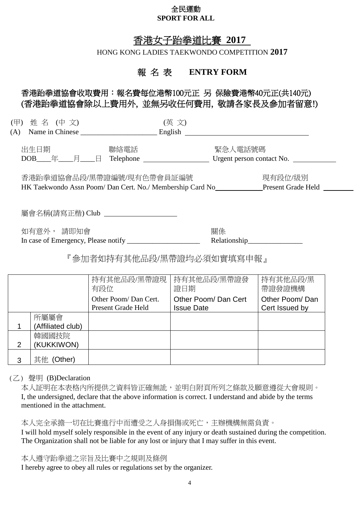# 香港女子跆拳道比賽 **2017**

HONG KONG LADIES TAEKWONDO COMPETITION **2017**

# 報 名 表 **ENTRY FORM**

# 香港跆拳道協會收取費用:報名費每位港幣100元正 另 保險費港幣40元正(共140元) (香港跆拳道協會除以上費用外, 並無另收任何費用, 敬請各家長及參加者留意!)

| (甲) 姓 名 (中 文)<br>(A) | Name in Chinese                                                                        | (英 文)<br>English          |                               |  |
|----------------------|----------------------------------------------------------------------------------------|---------------------------|-------------------------------|--|
| 出生日期<br>$DOB$ 年 月 日  | 聯絡電話<br>Telephone                                                                      | 緊急人電話號碼                   | Urgent person contact No.     |  |
|                      | 香港跆拳道協會品段/黑帶證編號/現有色帶會員証編號<br>HK Taekwondo Assn Poom/ Dan Cert. No./ Membership Card No |                           | 現有段位/級別<br>Present Grade Held |  |
|                      | 屬會名稱(請寫正楷) Club ________________________                                               |                           |                               |  |
| 如有意外, 請即知會           | In case of Emergency, Please notify                                                    | 關係                        |                               |  |
|                      |                                                                                        | 『參加者如持有其他品段/黑帶證均必須如實填寫申報』 |                               |  |
|                      | 持有其他品段/黑帶證現<br>有段位                                                                     | 持有其他品段/黑帶證發<br>證日期        | 持有其他品段/黑<br>帶證發證機構            |  |

Other Poom/ Dan Cert

Other Poom/ Dan Cert Issued by

Issue Date

|                         |                   | Present Grage Held | ISSUE Dale | <b>Celt Issued DV</b> |
|-------------------------|-------------------|--------------------|------------|-----------------------|
|                         | 所屬屬會              |                    |            |                       |
|                         | (Affiliated club) |                    |            |                       |
|                         | 韓國國技院             |                    |            |                       |
| $\overline{2}$          | (KUKKIWON)        |                    |            |                       |
| 3                       | 其他 (Other)        |                    |            |                       |
|                         |                   |                    |            |                       |
| $(7)$ 磬昍 (B)Declaration |                   |                    |            |                       |

(乙) 聲明 (B)Declaration

本人証明在本表格內所提供之資料皆正確無訛,並明白附頁所列之條款及願意遵從大會規則。 I, the undersigned, declare that the above information is correct. I understand and abide by the terms mentioned in the attachment.

本人完全承擔一切在比賽進行中而遭受之人身損傷或死亡,主辦機構無需負責。 I will hold myself solely responsible in the event of any injury or death sustained during the competition. The Organization shall not be liable for any lost or injury that I may suffer in this event.

本人遵守跆拳道之宗旨及比賽中之規則及條例

I hereby agree to obey all rules or regulations set by the organizer.

Other Poom/ Dan Cert. Present Grade Held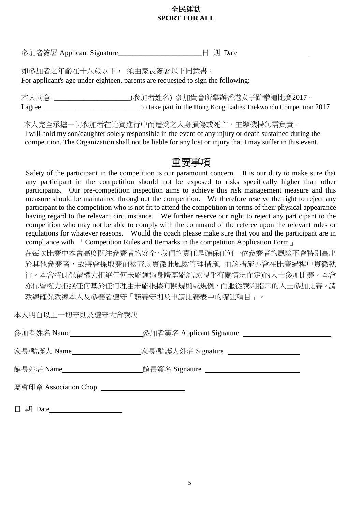參加者簽署 Applicant Signature\_\_\_\_\_\_\_\_\_\_\_\_\_\_\_\_\_\_\_\_\_\_\_日 期 Date

如參加者之年齡在十八歲以下, 須由家長簽署以下同意書: For applicant's age under eighteen, parents are requested to sign the following:

本人同意 \_\_\_\_\_\_\_\_\_\_\_\_\_\_\_\_\_\_\_\_\_(參加者姓名) 參加貴會所舉辦香港女子跆拳道比賽2017。 I agree to take part in the Hong Kong Ladies Taekwondo Competition 2017

本人完全承擔一切參加者在比賽進行中而遭受之人身損傷或死亡,主辦機構無需負責。 I will hold my son/daughter solely responsible in the event of any injury or death sustained during the competition. The Organization shall not be liable for any lost or injury that I may suffer in this event.

# 重要事項

Safety of the participant in the competition is our paramount concern. It is our duty to make sure that any participant in the competition should not be exposed to risks specifically higher than other participants. Our pre-competition inspection aims to achieve this risk management measure and this measure should be maintained throughout the competition. We therefore reserve the right to reject any participant to the competition who is not fit to attend the competition in terms of their physical appearance having regard to the relevant circumstance. We further reserve our right to reject any participant to the competition who may not be able to comply with the command of the referee upon the relevant rules or regulations for whatever reasons. Would the coach please make sure that you and the participant are in compliance with 「Competition Rules and Remarks in the competition Application Form」

在每次比賽中本會高度關注參賽者的安全。我們的責任是確保任何一位參賽者的風險不會特別高出 於其他參賽者,故將會採取賽前檢查以貫徹此風險管理措施, 而該措施亦會在比賽過程中貫徹執 行。本會特此保留權力拒絕任何未能通過身體基能測試(視乎有關情況而定)的人士參加比賽。本會 亦保留權力拒絕任何基於任何理由未能根據有關規則或規例、而服從裁判指示的人士參加比賽。請 教練確保教練本人及參賽者遵守「競賽守則及申請比賽表中的備註項目」。

本人明白以上一切守則及遵守大會裁決

| 參加者姓名 Name_           | 参加者簽名 Applicant Signature ______         |
|-----------------------|------------------------------------------|
|                       | __家長/監護人姓名 Signature _______________     |
|                       | _館長簽名 Signature ________________________ |
| 屬會印章 Association Chop |                                          |

日 期 Date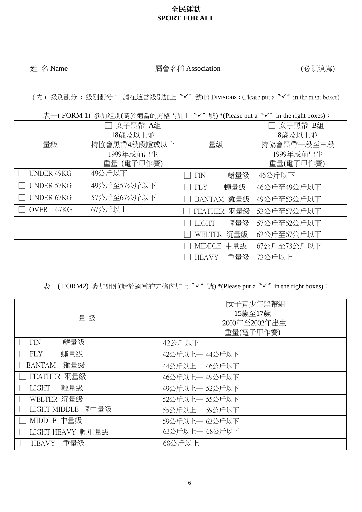姓 名 Name 屬會名稱 Association (必須填寫)

(丙) 級別劃分 : 級別劃分: 請在適當級別加上〝✓〞號(F) Divisions : (Please put a〝✓〞in the right boxes)

表一(FORM 1) 参加組別(請於適當的方格內加上〝✓〞號) \*(Please put a 〝✓〞in the right boxes):

| 量級                  | 女子黑帶 A組<br>18歲及以上並<br>持協會黑帶4段段證或以上<br>1999年或前出生<br>重量 (電子甲作賽) | 量級                   | 女子黑帶 B組<br>18歲及以上並<br>持協會黑帶一段至三段<br>1999年或前出生<br>重量(電子甲作賽) |
|---------------------|---------------------------------------------------------------|----------------------|------------------------------------------------------------|
| <b>UNDER 49KG</b>   | 49公斤以下                                                        | 鰭量級<br><b>FIN</b>    | 46公斤以下                                                     |
| <b>UNDER 57KG</b>   | 49公斤至57公斤以下                                                   | 蠅量級<br><b>FLY</b>    | 46公斤至49公斤以下                                                |
| <b>UNDER 67KG</b>   | 57公斤至67公斤以下                                                   | BANTAM 雛量級           | 49公斤至53公斤以下                                                |
| <b>OVER</b><br>67KG | 67公斤以上                                                        | FEATHER 羽量級          | 53公斤至57公斤以下                                                |
|                     |                                                               | 輕量級<br><b>LIGHT</b>  | 57公斤至62公斤以下                                                |
|                     |                                                               | WELTER 沉量級           | 62公斤至67公斤以下                                                |
|                     |                                                               | 中量級<br><b>MIDDLE</b> | 67公斤至73公斤以下                                                |
|                     |                                                               | 重量級<br><b>HEAVY</b>  | 73公斤以上                                                     |

表二( FORM2) 參加組別(請於適當的方格內加上〝✓〞號) \*(Please put a〝✓〞in the right boxes):

| 量級                   | □女子青少年黑帶組<br>15歲至17歲<br>2000年至2002年出生<br>重量(電子甲作賽) |
|----------------------|----------------------------------------------------|
| 鰭量級<br><b>FIN</b>    | 42公斤以下                                             |
| 蠅量級<br><b>FLY</b>    | 42公斤以上一 44公斤以下                                     |
| 雛量級<br><b>BANTAM</b> | 44公斤以上一 46公斤以下                                     |
| FEATHER 羽量級          | 46公斤以上一 49公斤以下                                     |
| 輕量級<br>LIGHT         | 49公斤以上一 52公斤以下                                     |
| WELTER 沉量級           | 52公斤以上— 55公斤以下                                     |
| LIGHT MIDDLE 輕中量級    | 55公斤以上一 59公斤以下                                     |
| MIDDLE 中量級           | 59公斤以上一 63公斤以下                                     |
| LIGHT HEAVY 輕重量級     | 63公斤以上— 68公斤以下                                     |
| 重量級<br>HEAVY         | 68公斤以上                                             |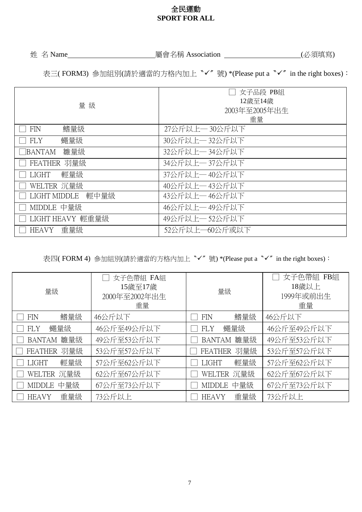姓 名 Name 屬會名稱 Association (必須填寫)

表三( FORM3) 参加組別(請於適當的方格內加上<sup>、</sup>√″號) \*(Please put a <sup>ヽ</sup>√″in the right boxes):

| 量級                   | 女子品段 PB組<br>12歳至14歳<br>2003年至2005年出生<br>重量 |
|----------------------|--------------------------------------------|
| 鰭量級<br><b>FIN</b>    | 27公斤以上一30公斤以下                              |
| 蠅量級<br><b>FLY</b>    | 30公斤以上一32公斤以下                              |
| 雛量級<br>BANTAM        | 32公斤以上一34公斤以下                              |
| FEATHER 羽量級          | 34公斤以上一37公斤以下                              |
| 輕量級<br><b>LIGHT</b>  | 37公斤以上一40公斤以下                              |
| WELTER 沉量級           | 40公斤以上一43公斤以下                              |
| 輕中量級<br>LIGHT MIDDLE | 43公斤以上— 46公斤以下                             |
| MIDDLE 中量級           | 46公斤以上一49公斤以下                              |
| LIGHT HEAVY 輕重量級     | 49公斤以上一52公斤以下                              |
| 重量級<br>HEAVY         | 52公斤以上—60公斤或以下                             |

表四( FORM 4) 參加組別(請於適當的方格內加上〝✓〞號) \*(Please put a〝✓〞in the right boxes):

| 量級                   | 女子色帶組 FA組<br>15歲至17歲<br>2000年至2002年出生<br>重量 | 量級                   | 女子色帶組 FB組<br>18歲以上<br>1999年或前出生<br>重量 |
|----------------------|---------------------------------------------|----------------------|---------------------------------------|
| 鰭量級<br><b>FIN</b>    | 46公斤以下                                      | 鰭量級<br><b>FIN</b>    | 46公斤以下                                |
| 蠅量級<br><b>FLY</b>    | 46公斤至49公斤以下                                 | 蠅量級<br>FLY           | 46公斤至49公斤以下                           |
| BANTAM 雛量級           | 49公斤至53公斤以下                                 | 雛量級<br>BANTAM        | 49公斤至53公斤以下                           |
| FEATHER 羽量級          | 53公斤至57公斤以下                                 | FEATHER 羽量級          | 53公斤至57公斤以下                           |
| 輕量級<br><b>LIGHT</b>  | 57公斤至62公斤以下                                 | 輕量級<br><b>LIGHT</b>  | 57公斤至62公斤以下                           |
| WELTER 沉量級           | 62公斤至67公斤以下                                 | WELTER 沉量級           | 62公斤至67公斤以下                           |
| 中量級<br><b>MIDDLE</b> | 67公斤至73公斤以下                                 | 中量級<br><b>MIDDLE</b> | 67公斤至73公斤以下                           |
| 重量級<br><b>HEAVY</b>  | 73公斤以上                                      | 重量級<br><b>HEAVY</b>  | 73公斤以上                                |